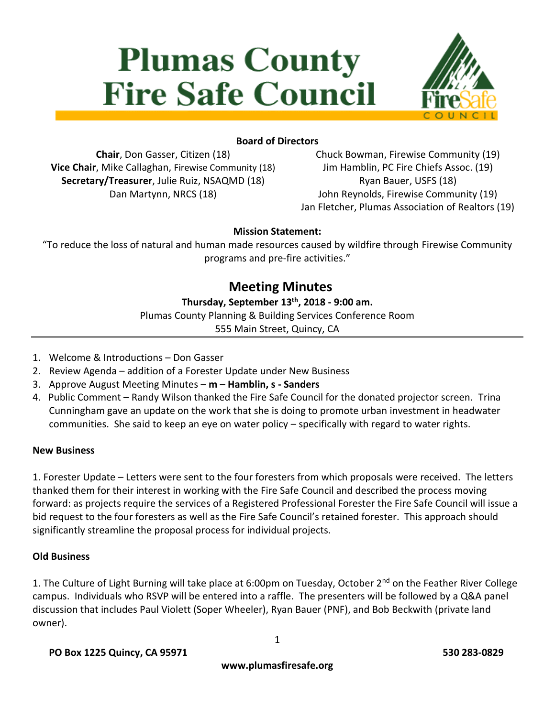# **Plumas County Fire Safe Council**



## **Board of Directors**

**Chair**, Don Gasser, Citizen (18) **Vice Chair**, Mike Callaghan, Firewise Community (18) **Secretary/Treasurer**, Julie Ruiz, NSAQMD (18) Dan Martynn, NRCS (18)

Chuck Bowman, Firewise Community (19) Jim Hamblin, PC Fire Chiefs Assoc. (19) Ryan Bauer, USFS (18) John Reynolds, Firewise Community (19) Jan Fletcher, Plumas Association of Realtors (19)

#### **Mission Statement:**

"To reduce the loss of natural and human made resources caused by wildfire through Firewise Community programs and pre-fire activities."

# **Meeting Minutes**

#### **Thursday, September 13th, 2018 - 9:00 am.**

Plumas County Planning & Building Services Conference Room

555 Main Street, Quincy, CA

- 1. Welcome & Introductions Don Gasser
- 2. Review Agenda addition of a Forester Update under New Business
- 3. Approve August Meeting Minutes **m – Hamblin, s - Sanders**
- 4. Public Comment Randy Wilson thanked the Fire Safe Council for the donated projector screen. Trina Cunningham gave an update on the work that she is doing to promote urban investment in headwater communities. She said to keep an eye on water policy – specifically with regard to water rights.

#### **New Business**

1. Forester Update – Letters were sent to the four foresters from which proposals were received. The letters thanked them for their interest in working with the Fire Safe Council and described the process moving forward: as projects require the services of a Registered Professional Forester the Fire Safe Council will issue a bid request to the four foresters as well as the Fire Safe Council's retained forester. This approach should significantly streamline the proposal process for individual projects.

#### **Old Business**

1. The Culture of Light Burning will take place at 6:00pm on Tuesday, October 2<sup>nd</sup> on the Feather River College campus. Individuals who RSVP will be entered into a raffle. The presenters will be followed by a Q&A panel discussion that includes Paul Violett (Soper Wheeler), Ryan Bauer (PNF), and Bob Beckwith (private land owner).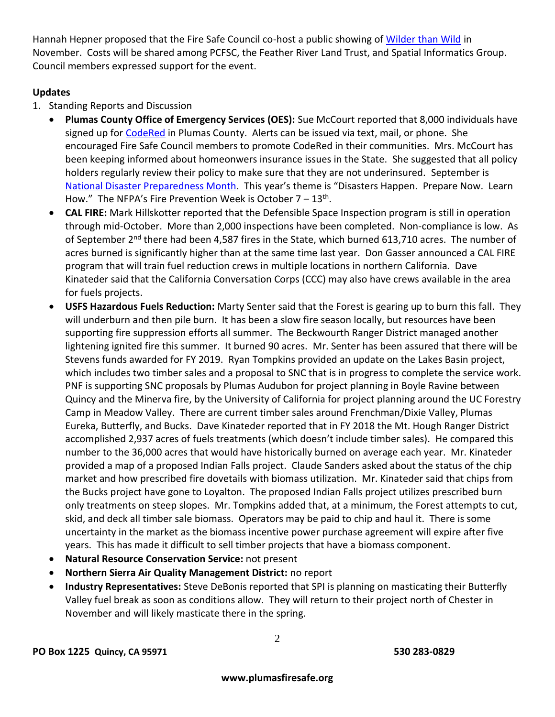Hannah Hepner proposed that the Fire Safe Council co-host a public showing o[f Wilder than Wild](https://www.wilderthanwildfilm.org/) in November. Costs will be shared among PCFSC, the Feather River Land Trust, and Spatial Informatics Group. Council members expressed support for the event.

#### **Updates**

- 1. Standing Reports and Discussion
	- **Plumas County Office of Emergency Services (OES):** Sue McCourt reported that 8,000 individuals have signed up for [CodeRed](http://www.plumascounty.us/index.aspx?nid=2163) in Plumas County. Alerts can be issued via text, mail, or phone. She encouraged Fire Safe Council members to promote CodeRed in their communities. Mrs. McCourt has been keeping informed about homeonwers insurance issues in the State. She suggested that all policy holders regularly review their policy to make sure that they are not underinsured. September is [National Disaster Preparedness Month](https://www.ready.gov/september). This year's theme is "Disasters Happen. Prepare Now. Learn How." The NFPA's Fire Prevention Week is October  $7-13$ <sup>th</sup>.
	- **CAL FIRE:** Mark Hillskotter reported that the Defensible Space Inspection program is still in operation through mid-October. More than 2,000 inspections have been completed. Non-compliance is low. As of September 2<sup>nd</sup> there had been 4,587 fires in the State, which burned 613,710 acres. The number of acres burned is significantly higher than at the same time last year. Don Gasser announced a CAL FIRE program that will train fuel reduction crews in multiple locations in northern California. Dave Kinateder said that the California Conversation Corps (CCC) may also have crews available in the area for fuels projects.
	- **USFS Hazardous Fuels Reduction:** Marty Senter said that the Forest is gearing up to burn this fall. They will underburn and then pile burn. It has been a slow fire season locally, but resources have been supporting fire suppression efforts all summer. The Beckwourth Ranger District managed another lightening ignited fire this summer. It burned 90 acres. Mr. Senter has been assured that there will be Stevens funds awarded for FY 2019. Ryan Tompkins provided an update on the Lakes Basin project, which includes two timber sales and a proposal to SNC that is in progress to complete the service work. PNF is supporting SNC proposals by Plumas Audubon for project planning in Boyle Ravine between Quincy and the Minerva fire, by the University of California for project planning around the UC Forestry Camp in Meadow Valley. There are current timber sales around Frenchman/Dixie Valley, Plumas Eureka, Butterfly, and Bucks. Dave Kinateder reported that in FY 2018 the Mt. Hough Ranger District accomplished 2,937 acres of fuels treatments (which doesn't include timber sales). He compared this number to the 36,000 acres that would have historically burned on average each year. Mr. Kinateder provided a map of a proposed Indian Falls project. Claude Sanders asked about the status of the chip market and how prescribed fire dovetails with biomass utilization. Mr. Kinateder said that chips from the Bucks project have gone to Loyalton. The proposed Indian Falls project utilizes prescribed burn only treatments on steep slopes. Mr. Tompkins added that, at a minimum, the Forest attempts to cut, skid, and deck all timber sale biomass. Operators may be paid to chip and haul it. There is some uncertainty in the market as the biomass incentive power purchase agreement will expire after five years. This has made it difficult to sell timber projects that have a biomass component.
	- **Natural Resource Conservation Service:** not present
	- **Northern Sierra Air Quality Management District:** no report
	- **Industry Representatives:** Steve DeBonis reported that SPI is planning on masticating their Butterfly Valley fuel break as soon as conditions allow. They will return to their project north of Chester in November and will likely masticate there in the spring.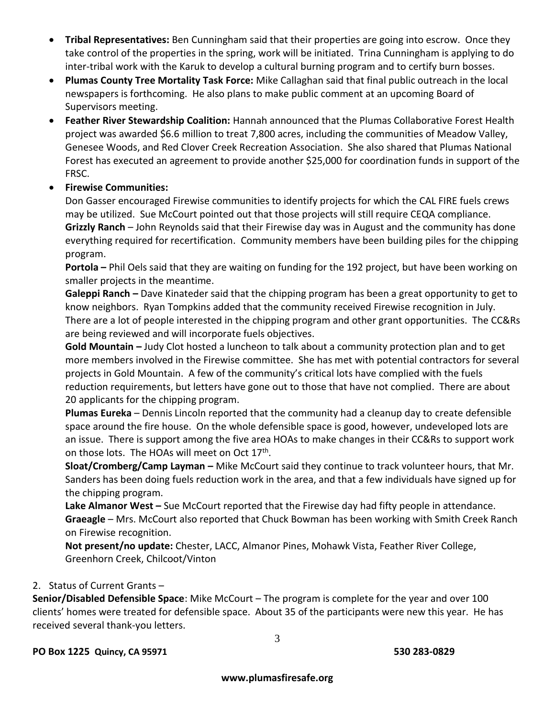- **Tribal Representatives:** Ben Cunningham said that their properties are going into escrow. Once they take control of the properties in the spring, work will be initiated. Trina Cunningham is applying to do inter-tribal work with the Karuk to develop a cultural burning program and to certify burn bosses.
- **Plumas County Tree Mortality Task Force:** Mike Callaghan said that final public outreach in the local newspapers is forthcoming. He also plans to make public comment at an upcoming Board of Supervisors meeting.
- **Feather River Stewardship Coalition:** Hannah announced that the Plumas Collaborative Forest Health project was awarded \$6.6 million to treat 7,800 acres, including the communities of Meadow Valley, Genesee Woods, and Red Clover Creek Recreation Association. She also shared that Plumas National Forest has executed an agreement to provide another \$25,000 for coordination funds in support of the FRSC.
- **Firewise Communities:**

Don Gasser encouraged Firewise communities to identify projects for which the CAL FIRE fuels crews may be utilized. Sue McCourt pointed out that those projects will still require CEQA compliance. **Grizzly Ranch** – John Reynolds said that their Firewise day was in August and the community has done everything required for recertification. Community members have been building piles for the chipping program.

**Portola –** Phil Oels said that they are waiting on funding for the 192 project, but have been working on smaller projects in the meantime.

**Galeppi Ranch –** Dave Kinateder said that the chipping program has been a great opportunity to get to know neighbors. Ryan Tompkins added that the community received Firewise recognition in July. There are a lot of people interested in the chipping program and other grant opportunities. The CC&Rs are being reviewed and will incorporate fuels objectives.

**Gold Mountain –** Judy Clot hosted a luncheon to talk about a community protection plan and to get more members involved in the Firewise committee. She has met with potential contractors for several projects in Gold Mountain. A few of the community's critical lots have complied with the fuels reduction requirements, but letters have gone out to those that have not complied. There are about 20 applicants for the chipping program.

**Plumas Eureka** – Dennis Lincoln reported that the community had a cleanup day to create defensible space around the fire house. On the whole defensible space is good, however, undeveloped lots are an issue. There is support among the five area HOAs to make changes in their CC&Rs to support work on those lots. The HOAs will meet on Oct 17<sup>th</sup>.

**Sloat/Cromberg/Camp Layman –** Mike McCourt said they continue to track volunteer hours, that Mr. Sanders has been doing fuels reduction work in the area, and that a few individuals have signed up for the chipping program.

**Lake Almanor West –** Sue McCourt reported that the Firewise day had fifty people in attendance. **Graeagle** – Mrs. McCourt also reported that Chuck Bowman has been working with Smith Creek Ranch on Firewise recognition.

**Not present/no update:** Chester, LACC, Almanor Pines, Mohawk Vista, Feather River College, Greenhorn Creek, Chilcoot/Vinton

### 2. Status of Current Grants –

**Senior/Disabled Defensible Space**: Mike McCourt – The program is complete for the year and over 100 clients' homes were treated for defensible space. About 35 of the participants were new this year. He has received several thank-you letters.